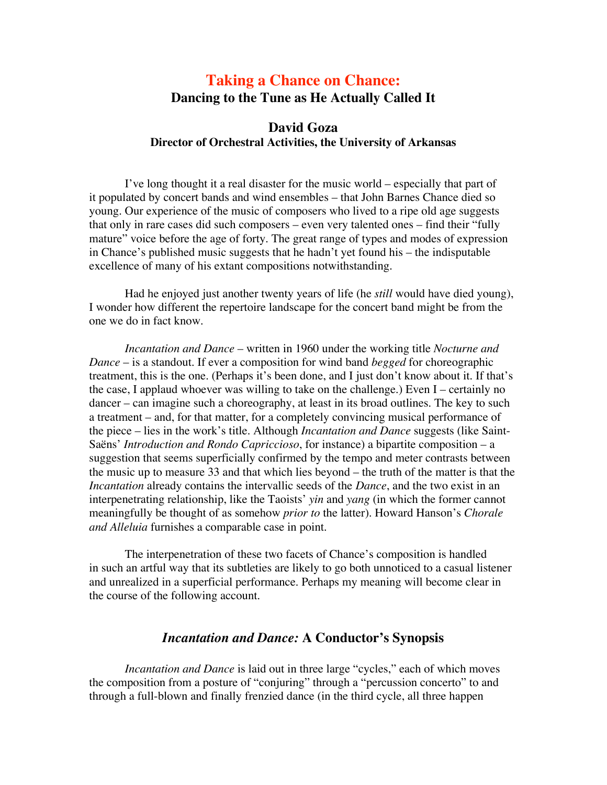# **Taking a Chance on Chance: Dancing to the Tune as He Actually Called It**

# **David Goza Director of Orchestral Activities, the University of Arkansas**

I've long thought it a real disaster for the music world – especially that part of it populated by concert bands and wind ensembles – that John Barnes Chance died so young. Our experience of the music of composers who lived to a ripe old age suggests that only in rare cases did such composers – even very talented ones – find their "fully mature" voice before the age of forty. The great range of types and modes of expression in Chance's published music suggests that he hadn't yet found his – the indisputable excellence of many of his extant compositions notwithstanding.

Had he enjoyed just another twenty years of life (he *still* would have died young), I wonder how different the repertoire landscape for the concert band might be from the one we do in fact know.

*Incantation and Dance* – written in 1960 under the working title *Nocturne and Dance* – is a standout. If ever a composition for wind band *begged* for choreographic treatment, this is the one. (Perhaps it's been done, and I just don't know about it. If that's the case, I applaud whoever was willing to take on the challenge.) Even I – certainly no dancer – can imagine such a choreography, at least in its broad outlines. The key to such a treatment – and, for that matter, for a completely convincing musical performance of the piece – lies in the work's title. Although *Incantation and Dance* suggests (like Saint-Saëns' *Introduction and Rondo Capriccioso*, for instance) a bipartite composition – a suggestion that seems superficially confirmed by the tempo and meter contrasts between the music up to measure 33 and that which lies beyond – the truth of the matter is that the *Incantation* already contains the intervallic seeds of the *Dance*, and the two exist in an interpenetrating relationship, like the Taoists' *yin* and *yang* (in which the former cannot meaningfully be thought of as somehow *prior to* the latter). Howard Hanson's *Chorale and Alleluia* furnishes a comparable case in point.

The interpenetration of these two facets of Chance's composition is handled in such an artful way that its subtleties are likely to go both unnoticed to a casual listener and unrealized in a superficial performance. Perhaps my meaning will become clear in the course of the following account.

# *Incantation and Dance:* **A Conductor's Synopsis**

*Incantation and Dance* is laid out in three large "cycles," each of which moves the composition from a posture of "conjuring" through a "percussion concerto" to and through a full-blown and finally frenzied dance (in the third cycle, all three happen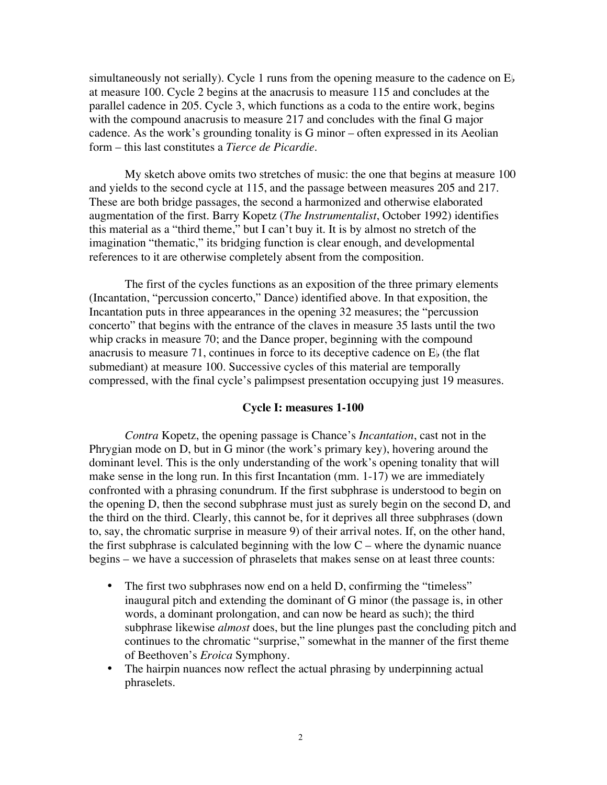simultaneously not serially). Cycle 1 runs from the opening measure to the cadence on  $E<sub>b</sub>$ at measure 100. Cycle 2 begins at the anacrusis to measure 115 and concludes at the parallel cadence in 205. Cycle 3, which functions as a coda to the entire work, begins with the compound anacrusis to measure 217 and concludes with the final G major cadence. As the work's grounding tonality is G minor – often expressed in its Aeolian form – this last constitutes a *Tierce de Picardie*.

My sketch above omits two stretches of music: the one that begins at measure 100 and yields to the second cycle at 115, and the passage between measures 205 and 217. These are both bridge passages, the second a harmonized and otherwise elaborated augmentation of the first. Barry Kopetz (*The Instrumentalist*, October 1992) identifies this material as a "third theme," but I can't buy it. It is by almost no stretch of the imagination "thematic," its bridging function is clear enough, and developmental references to it are otherwise completely absent from the composition.

The first of the cycles functions as an exposition of the three primary elements (Incantation, "percussion concerto," Dance) identified above. In that exposition, the Incantation puts in three appearances in the opening 32 measures; the "percussion concerto" that begins with the entrance of the claves in measure 35 lasts until the two whip cracks in measure 70; and the Dance proper, beginning with the compound anacrusis to measure 71, continues in force to its deceptive cadence on  $E<sub>b</sub>$  (the flat submediant) at measure 100. Successive cycles of this material are temporally compressed, with the final cycle's palimpsest presentation occupying just 19 measures.

#### **Cycle I: measures 1-100**

*Contra* Kopetz, the opening passage is Chance's *Incantation*, cast not in the Phrygian mode on D, but in G minor (the work's primary key), hovering around the dominant level. This is the only understanding of the work's opening tonality that will make sense in the long run. In this first Incantation (mm. 1-17) we are immediately confronted with a phrasing conundrum. If the first subphrase is understood to begin on the opening D, then the second subphrase must just as surely begin on the second D, and the third on the third. Clearly, this cannot be, for it deprives all three subphrases (down to, say, the chromatic surprise in measure 9) of their arrival notes. If, on the other hand, the first subphrase is calculated beginning with the low  $C$  – where the dynamic nuance begins – we have a succession of phraselets that makes sense on at least three counts:

- The first two subphrases now end on a held D, confirming the "timeless" inaugural pitch and extending the dominant of G minor (the passage is, in other words, a dominant prolongation, and can now be heard as such); the third subphrase likewise *almost* does, but the line plunges past the concluding pitch and continues to the chromatic "surprise," somewhat in the manner of the first theme of Beethoven's *Eroica* Symphony.
- The hairpin nuances now reflect the actual phrasing by underpinning actual phraselets.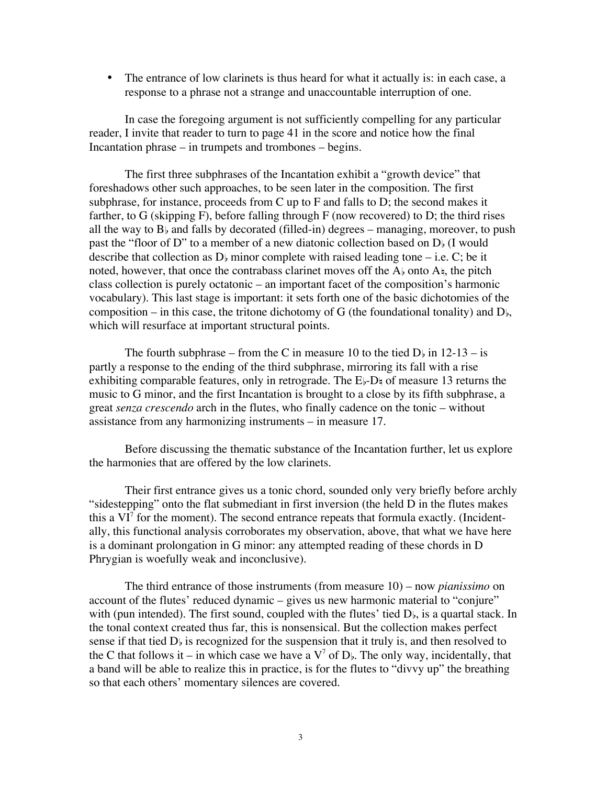• The entrance of low clarinets is thus heard for what it actually is: in each case, a response to a phrase not a strange and unaccountable interruption of one.

In case the foregoing argument is not sufficiently compelling for any particular reader, I invite that reader to turn to page 41 in the score and notice how the final Incantation phrase – in trumpets and trombones – begins.

The first three subphrases of the Incantation exhibit a "growth device" that foreshadows other such approaches, to be seen later in the composition. The first subphrase, for instance, proceeds from C up to F and falls to D; the second makes it farther, to G (skipping F), before falling through  $F$  (now recovered) to D; the third rises all the way to  $B<sub>b</sub>$  and falls by decorated (filled-in) degrees – managing, moreover, to push past the "floor of D" to a member of a new diatonic collection based on  $D<sub>b</sub>$  (I would describe that collection as  $D<sub>b</sub>$  minor complete with raised leading tone – i.e. C; be it noted, however, that once the contrabass clarinet moves off the  $A_{\flat}$  onto  $A_{\natural}$ , the pitch class collection is purely octatonic – an important facet of the composition's harmonic vocabulary). This last stage is important: it sets forth one of the basic dichotomies of the composition – in this case, the tritone dichotomy of G (the foundational tonality) and  $D<sub>b</sub>$ , which will resurface at important structural points.

The fourth subphrase – from the C in measure 10 to the tied  $D<sub>b</sub>$  in 12-13 – is partly a response to the ending of the third subphrase, mirroring its fall with a rise exhibiting comparable features, only in retrograde. The  $E_{\flat}$ -D $_{\sharp}$  of measure 13 returns the music to G minor, and the first Incantation is brought to a close by its fifth subphrase, a great *senza crescendo* arch in the flutes, who finally cadence on the tonic – without assistance from any harmonizing instruments – in measure 17.

Before discussing the thematic substance of the Incantation further, let us explore the harmonies that are offered by the low clarinets.

Their first entrance gives us a tonic chord, sounded only very briefly before archly "sidestepping" onto the flat submediant in first inversion (the held D in the flutes makes this a  $VI<sup>7</sup>$  for the moment). The second entrance repeats that formula exactly. (Incidentally, this functional analysis corroborates my observation, above, that what we have here is a dominant prolongation in G minor: any attempted reading of these chords in D Phrygian is woefully weak and inconclusive).

The third entrance of those instruments (from measure 10) – now *pianissimo* on account of the flutes' reduced dynamic – gives us new harmonic material to "conjure" with (pun intended). The first sound, coupled with the flutes' tied  $D_{\rm b}$ , is a quartal stack. In the tonal context created thus far, this is nonsensical. But the collection makes perfect sense if that tied  $D_{\flat}$  is recognized for the suspension that it truly is, and then resolved to the C that follows it – in which case we have a  $V^7$  of D<sub>b</sub>. The only way, incidentally, that a band will be able to realize this in practice, is for the flutes to "divvy up" the breathing so that each others' momentary silences are covered.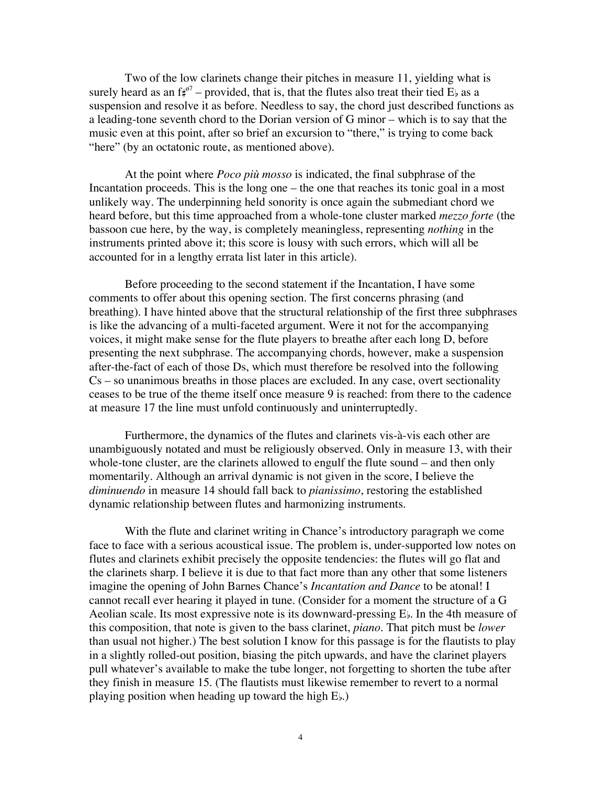Two of the low clarinets change their pitches in measure 11, yielding what is surely heard as an  $f^{\phi7}_\sharp$  – provided, that is, that the flutes also treat their tied E<sub>b</sub> as a suspension and resolve it as before. Needless to say, the chord just described functions as a leading-tone seventh chord to the Dorian version of G minor – which is to say that the music even at this point, after so brief an excursion to "there," is trying to come back "here" (by an octatonic route, as mentioned above).

At the point where *Poco più mosso* is indicated, the final subphrase of the Incantation proceeds. This is the long one – the one that reaches its tonic goal in a most unlikely way. The underpinning held sonority is once again the submediant chord we heard before, but this time approached from a whole-tone cluster marked *mezzo forte* (the bassoon cue here, by the way, is completely meaningless, representing *nothing* in the instruments printed above it; this score is lousy with such errors, which will all be accounted for in a lengthy errata list later in this article).

Before proceeding to the second statement if the Incantation, I have some comments to offer about this opening section. The first concerns phrasing (and breathing). I have hinted above that the structural relationship of the first three subphrases is like the advancing of a multi-faceted argument. Were it not for the accompanying voices, it might make sense for the flute players to breathe after each long D, before presenting the next subphrase. The accompanying chords, however, make a suspension after-the-fact of each of those Ds, which must therefore be resolved into the following Cs – so unanimous breaths in those places are excluded. In any case, overt sectionality ceases to be true of the theme itself once measure 9 is reached: from there to the cadence at measure 17 the line must unfold continuously and uninterruptedly.

Furthermore, the dynamics of the flutes and clarinets vis-à-vis each other are unambiguously notated and must be religiously observed. Only in measure 13, with their whole-tone cluster, are the clarinets allowed to engulf the flute sound – and then only momentarily. Although an arrival dynamic is not given in the score, I believe the *diminuendo* in measure 14 should fall back to *pianissimo*, restoring the established dynamic relationship between flutes and harmonizing instruments.

With the flute and clarinet writing in Chance's introductory paragraph we come face to face with a serious acoustical issue. The problem is, under-supported low notes on flutes and clarinets exhibit precisely the opposite tendencies: the flutes will go flat and the clarinets sharp. I believe it is due to that fact more than any other that some listeners imagine the opening of John Barnes Chance's *Incantation and Dance* to be atonal! I cannot recall ever hearing it played in tune. (Consider for a moment the structure of a G Aeolian scale. Its most expressive note is its downward-pressing  $E<sub>b</sub>$ . In the 4th measure of this composition, that note is given to the bass clarinet, *piano*. That pitch must be *lower* than usual not higher.) The best solution I know for this passage is for the flautists to play in a slightly rolled-out position, biasing the pitch upwards, and have the clarinet players pull whatever's available to make the tube longer, not forgetting to shorten the tube after they finish in measure 15. (The flautists must likewise remember to revert to a normal playing position when heading up toward the high  $E_{\flat}$ .)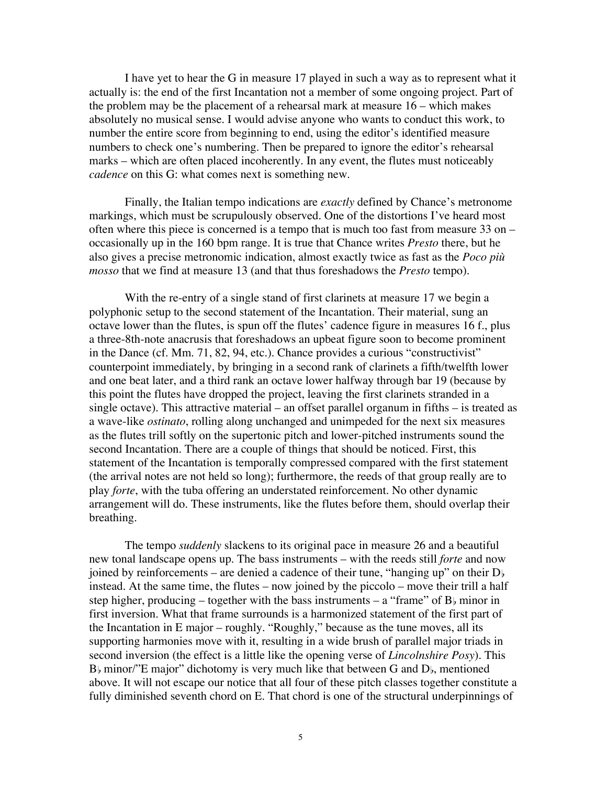I have yet to hear the G in measure 17 played in such a way as to represent what it actually is: the end of the first Incantation not a member of some ongoing project. Part of the problem may be the placement of a rehearsal mark at measure 16 – which makes absolutely no musical sense. I would advise anyone who wants to conduct this work, to number the entire score from beginning to end, using the editor's identified measure numbers to check one's numbering. Then be prepared to ignore the editor's rehearsal marks – which are often placed incoherently. In any event, the flutes must noticeably *cadence* on this G: what comes next is something new.

Finally, the Italian tempo indications are *exactly* defined by Chance's metronome markings, which must be scrupulously observed. One of the distortions I've heard most often where this piece is concerned is a tempo that is much too fast from measure 33 on – occasionally up in the 160 bpm range. It is true that Chance writes *Presto* there, but he also gives a precise metronomic indication, almost exactly twice as fast as the *Poco più mosso* that we find at measure 13 (and that thus foreshadows the *Presto* tempo).

With the re-entry of a single stand of first clarinets at measure 17 we begin a polyphonic setup to the second statement of the Incantation. Their material, sung an octave lower than the flutes, is spun off the flutes' cadence figure in measures 16 f., plus a three-8th-note anacrusis that foreshadows an upbeat figure soon to become prominent in the Dance (cf. Mm. 71, 82, 94, etc.). Chance provides a curious "constructivist" counterpoint immediately, by bringing in a second rank of clarinets a fifth/twelfth lower and one beat later, and a third rank an octave lower halfway through bar 19 (because by this point the flutes have dropped the project, leaving the first clarinets stranded in a single octave). This attractive material – an offset parallel organum in fifths – is treated as a wave-like *ostinato*, rolling along unchanged and unimpeded for the next six measures as the flutes trill softly on the supertonic pitch and lower-pitched instruments sound the second Incantation. There are a couple of things that should be noticed. First, this statement of the Incantation is temporally compressed compared with the first statement (the arrival notes are not held so long); furthermore, the reeds of that group really are to play *forte*, with the tuba offering an understated reinforcement. No other dynamic arrangement will do. These instruments, like the flutes before them, should overlap their breathing.

The tempo *suddenly* slackens to its original pace in measure 26 and a beautiful new tonal landscape opens up. The bass instruments – with the reeds still *forte* and now joined by reinforcements – are denied a cadence of their tune, "hanging up" on their  $D<sub>b</sub>$ instead. At the same time, the flutes – now joined by the piccolo – move their trill a half step higher, producing – together with the bass instruments – a "frame" of  $B<sub>b</sub>$  minor in first inversion. What that frame surrounds is a harmonized statement of the first part of the Incantation in E major – roughly. "Roughly," because as the tune moves, all its supporting harmonies move with it, resulting in a wide brush of parallel major triads in second inversion (the effect is a little like the opening verse of *Lincolnshire Posy*). This  $B<sub>b</sub>$  minor/"E major" dichotomy is very much like that between G and  $D<sub>b</sub>$ , mentioned above. It will not escape our notice that all four of these pitch classes together constitute a fully diminished seventh chord on E. That chord is one of the structural underpinnings of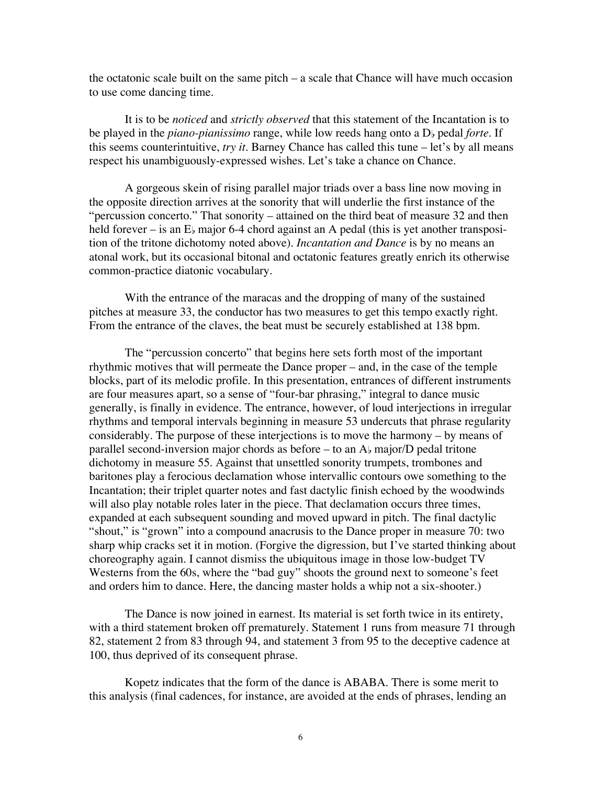the octatonic scale built on the same pitch – a scale that Chance will have much occasion to use come dancing time.

It is to be *noticed* and *strictly observed* that this statement of the Incantation is to be played in the *piano-pianissimo* range, while low reeds hang onto a D<sub>b</sub> pedal *forte*. If this seems counterintuitive, *try it*. Barney Chance has called this tune – let's by all means respect his unambiguously-expressed wishes. Let's take a chance on Chance.

A gorgeous skein of rising parallel major triads over a bass line now moving in the opposite direction arrives at the sonority that will underlie the first instance of the "percussion concerto." That sonority – attained on the third beat of measure 32 and then held forever – is an  $E<sub>b</sub>$  major 6-4 chord against an A pedal (this is yet another transposition of the tritone dichotomy noted above). *Incantation and Dance* is by no means an atonal work, but its occasional bitonal and octatonic features greatly enrich its otherwise common-practice diatonic vocabulary.

With the entrance of the maracas and the dropping of many of the sustained pitches at measure 33, the conductor has two measures to get this tempo exactly right. From the entrance of the claves, the beat must be securely established at 138 bpm.

The "percussion concerto" that begins here sets forth most of the important rhythmic motives that will permeate the Dance proper – and, in the case of the temple blocks, part of its melodic profile. In this presentation, entrances of different instruments are four measures apart, so a sense of "four-bar phrasing," integral to dance music generally, is finally in evidence. The entrance, however, of loud interjections in irregular rhythms and temporal intervals beginning in measure 53 undercuts that phrase regularity considerably. The purpose of these interjections is to move the harmony – by means of parallel second-inversion major chords as before  $-$  to an  $A$  major/D pedal tritone dichotomy in measure 55. Against that unsettled sonority trumpets, trombones and baritones play a ferocious declamation whose intervallic contours owe something to the Incantation; their triplet quarter notes and fast dactylic finish echoed by the woodwinds will also play notable roles later in the piece. That declamation occurs three times, expanded at each subsequent sounding and moved upward in pitch. The final dactylic "shout," is "grown" into a compound anacrusis to the Dance proper in measure 70: two sharp whip cracks set it in motion. (Forgive the digression, but I've started thinking about choreography again. I cannot dismiss the ubiquitous image in those low-budget TV Westerns from the 60s, where the "bad guy" shoots the ground next to someone's feet and orders him to dance. Here, the dancing master holds a whip not a six-shooter.)

The Dance is now joined in earnest. Its material is set forth twice in its entirety, with a third statement broken off prematurely. Statement 1 runs from measure 71 through 82, statement 2 from 83 through 94, and statement 3 from 95 to the deceptive cadence at 100, thus deprived of its consequent phrase.

Kopetz indicates that the form of the dance is ABABA. There is some merit to this analysis (final cadences, for instance, are avoided at the ends of phrases, lending an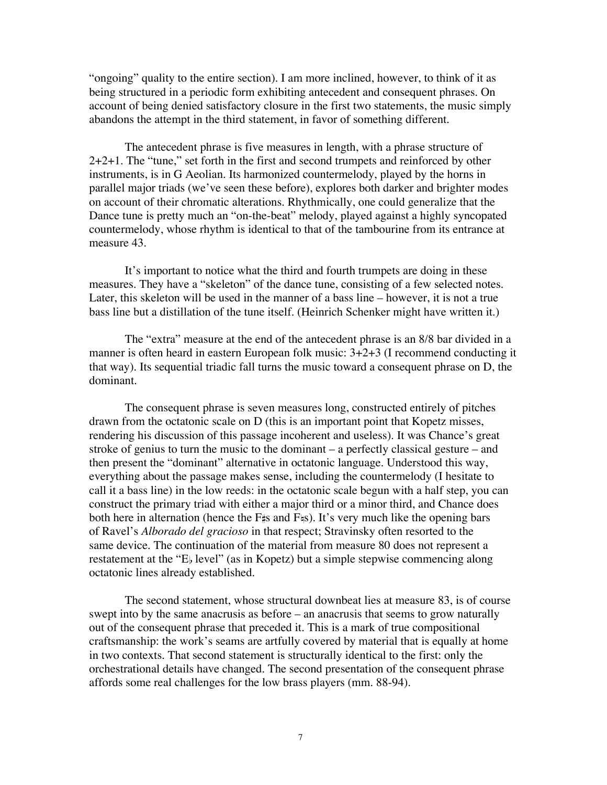"ongoing" quality to the entire section). I am more inclined, however, to think of it as being structured in a periodic form exhibiting antecedent and consequent phrases. On account of being denied satisfactory closure in the first two statements, the music simply abandons the attempt in the third statement, in favor of something different.

The antecedent phrase is five measures in length, with a phrase structure of 2+2+1. The "tune," set forth in the first and second trumpets and reinforced by other instruments, is in G Aeolian. Its harmonized countermelody, played by the horns in parallel major triads (we've seen these before), explores both darker and brighter modes on account of their chromatic alterations. Rhythmically, one could generalize that the Dance tune is pretty much an "on-the-beat" melody, played against a highly syncopated countermelody, whose rhythm is identical to that of the tambourine from its entrance at measure 43.

It's important to notice what the third and fourth trumpets are doing in these measures. They have a "skeleton" of the dance tune, consisting of a few selected notes. Later, this skeleton will be used in the manner of a bass line – however, it is not a true bass line but a distillation of the tune itself. (Heinrich Schenker might have written it.)

The "extra" measure at the end of the antecedent phrase is an 8/8 bar divided in a manner is often heard in eastern European folk music:  $3+2+3$  (I recommend conducting it that way). Its sequential triadic fall turns the music toward a consequent phrase on D, the dominant.

The consequent phrase is seven measures long, constructed entirely of pitches drawn from the octatonic scale on D (this is an important point that Kopetz misses, rendering his discussion of this passage incoherent and useless). It was Chance's great stroke of genius to turn the music to the dominant – a perfectly classical gesture – and then present the "dominant" alternative in octatonic language. Understood this way, everything about the passage makes sense, including the countermelody (I hesitate to call it a bass line) in the low reeds: in the octatonic scale begun with a half step, you can construct the primary triad with either a major third or a minor third, and Chance does both here in alternation (hence the  $F\sharp s$  and  $F\sharp s$ ). It's very much like the opening bars of Ravel's *Alborado del gracioso* in that respect; Stravinsky often resorted to the same device. The continuation of the material from measure 80 does not represent a restatement at the "E<sub>b</sub> level" (as in Kopetz) but a simple stepwise commencing along octatonic lines already established.

The second statement, whose structural downbeat lies at measure 83, is of course swept into by the same anacrusis as before – an anacrusis that seems to grow naturally out of the consequent phrase that preceded it. This is a mark of true compositional craftsmanship: the work's seams are artfully covered by material that is equally at home in two contexts. That second statement is structurally identical to the first: only the orchestrational details have changed. The second presentation of the consequent phrase affords some real challenges for the low brass players (mm. 88-94).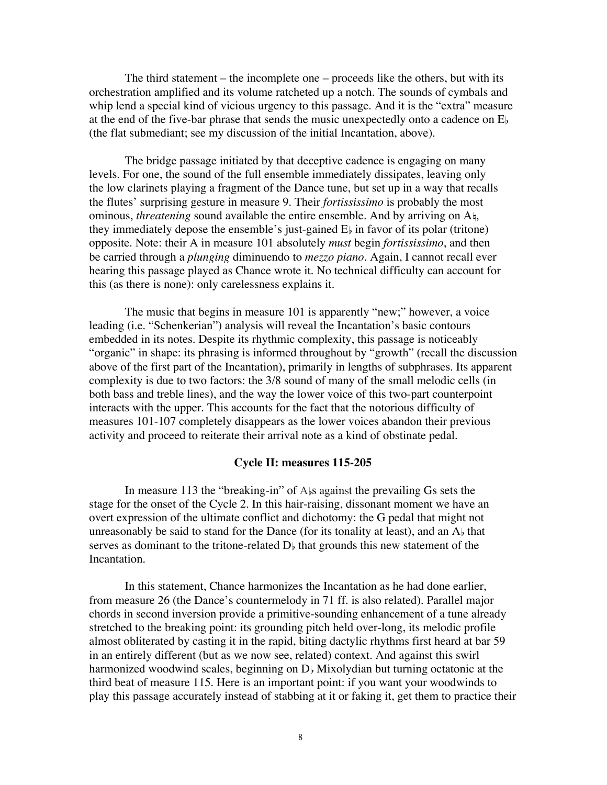The third statement – the incomplete one – proceeds like the others, but with its orchestration amplified and its volume ratcheted up a notch. The sounds of cymbals and whip lend a special kind of vicious urgency to this passage. And it is the "extra" measure at the end of the five-bar phrase that sends the music unexpectedly onto a cadence on E (the flat submediant; see my discussion of the initial Incantation, above).

The bridge passage initiated by that deceptive cadence is engaging on many levels. For one, the sound of the full ensemble immediately dissipates, leaving only the low clarinets playing a fragment of the Dance tune, but set up in a way that recalls the flutes' surprising gesture in measure 9. Their *fortississimo* is probably the most ominous, *threatening* sound available the entire ensemble. And by arriving on A<sup>t</sup>, they immediately depose the ensemble's just-gained  $E_{\flat}$  in favor of its polar (tritone) opposite. Note: their A in measure 101 absolutely *must* begin *fortississimo*, and then be carried through a *plunging* diminuendo to *mezzo piano*. Again, I cannot recall ever hearing this passage played as Chance wrote it. No technical difficulty can account for this (as there is none): only carelessness explains it.

The music that begins in measure 101 is apparently "new;" however, a voice leading (i.e. "Schenkerian") analysis will reveal the Incantation's basic contours embedded in its notes. Despite its rhythmic complexity, this passage is noticeably "organic" in shape: its phrasing is informed throughout by "growth" (recall the discussion above of the first part of the Incantation), primarily in lengths of subphrases. Its apparent complexity is due to two factors: the 3/8 sound of many of the small melodic cells (in both bass and treble lines), and the way the lower voice of this two-part counterpoint interacts with the upper. This accounts for the fact that the notorious difficulty of measures 101-107 completely disappears as the lower voices abandon their previous activity and proceed to reiterate their arrival note as a kind of obstinate pedal.

#### **Cycle II: measures 115-205**

In measure 113 the "breaking-in" of  $A$  against the prevailing Gs sets the stage for the onset of the Cycle 2. In this hair-raising, dissonant moment we have an overt expression of the ultimate conflict and dichotomy: the G pedal that might not unreasonably be said to stand for the Dance (for its tonality at least), and an  $A<sub>b</sub>$  that serves as dominant to the tritone-related  $D<sub>b</sub>$  that grounds this new statement of the Incantation.

In this statement, Chance harmonizes the Incantation as he had done earlier, from measure 26 (the Dance's countermelody in 71 ff. is also related). Parallel major chords in second inversion provide a primitive-sounding enhancement of a tune already stretched to the breaking point: its grounding pitch held over-long, its melodic profile almost obliterated by casting it in the rapid, biting dactylic rhythms first heard at bar 59 in an entirely different (but as we now see, related) context. And against this swirl harmonized woodwind scales, beginning on  $D<sub>b</sub>$  Mixolydian but turning octatonic at the third beat of measure 115. Here is an important point: if you want your woodwinds to play this passage accurately instead of stabbing at it or faking it, get them to practice their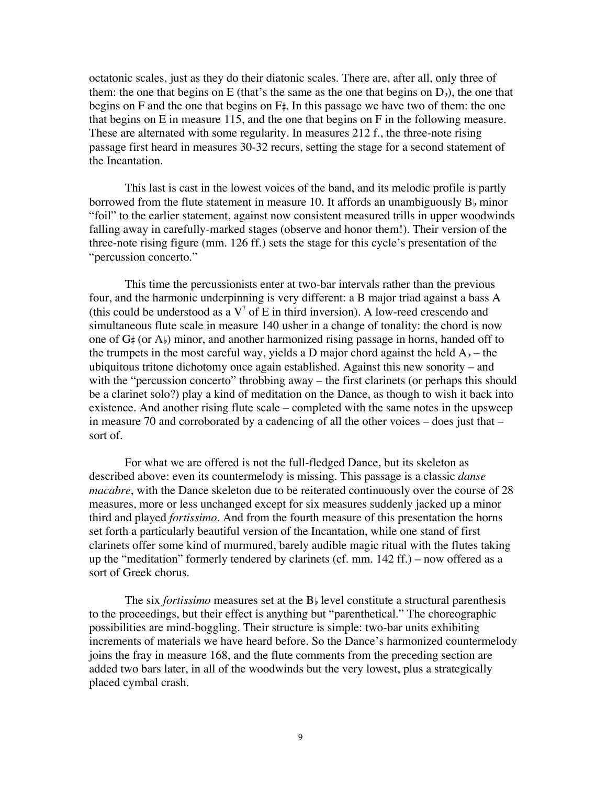octatonic scales, just as they do their diatonic scales. There are, after all, only three of them: the one that begins on E (that's the same as the one that begins on  $D_{\nu}$ ), the one that begins on F and the one that begins on  $F_{\tau}$ . In this passage we have two of them: the one that begins on E in measure 115, and the one that begins on F in the following measure. These are alternated with some regularity. In measures 212 f., the three-note rising passage first heard in measures 30-32 recurs, setting the stage for a second statement of the Incantation.

This last is cast in the lowest voices of the band, and its melodic profile is partly borrowed from the flute statement in measure 10. It affords an unambiguously  $B_{\nu}$  minor "foil" to the earlier statement, against now consistent measured trills in upper woodwinds falling away in carefully-marked stages (observe and honor them!). Their version of the three-note rising figure (mm. 126 ff.) sets the stage for this cycle's presentation of the "percussion concerto."

This time the percussionists enter at two-bar intervals rather than the previous four, and the harmonic underpinning is very different: a B major triad against a bass A (this could be understood as a  $V^7$  of E in third inversion). A low-reed crescendo and simultaneous flute scale in measure 140 usher in a change of tonality: the chord is now one of  $G#$  (or  $A$ ) minor, and another harmonized rising passage in horns, handed off to the trumpets in the most careful way, yields a D major chord against the held  $A_{\flat}$  – the ubiquitous tritone dichotomy once again established. Against this new sonority – and with the "percussion concerto" throbbing away – the first clarinets (or perhaps this should be a clarinet solo?) play a kind of meditation on the Dance, as though to wish it back into existence. And another rising flute scale – completed with the same notes in the upsweep in measure 70 and corroborated by a cadencing of all the other voices – does just that – sort of.

For what we are offered is not the full-fledged Dance, but its skeleton as described above: even its countermelody is missing. This passage is a classic *danse macabre*, with the Dance skeleton due to be reiterated continuously over the course of 28 measures, more or less unchanged except for six measures suddenly jacked up a minor third and played *fortissimo*. And from the fourth measure of this presentation the horns set forth a particularly beautiful version of the Incantation, while one stand of first clarinets offer some kind of murmured, barely audible magic ritual with the flutes taking up the "meditation" formerly tendered by clarinets (cf. mm. 142 ff.) – now offered as a sort of Greek chorus.

The six *fortissimo* measures set at the  $B<sub>b</sub>$  level constitute a structural parenthesis to the proceedings, but their effect is anything but "parenthetical." The choreographic possibilities are mind-boggling. Their structure is simple: two-bar units exhibiting increments of materials we have heard before. So the Dance's harmonized countermelody joins the fray in measure 168, and the flute comments from the preceding section are added two bars later, in all of the woodwinds but the very lowest, plus a strategically placed cymbal crash.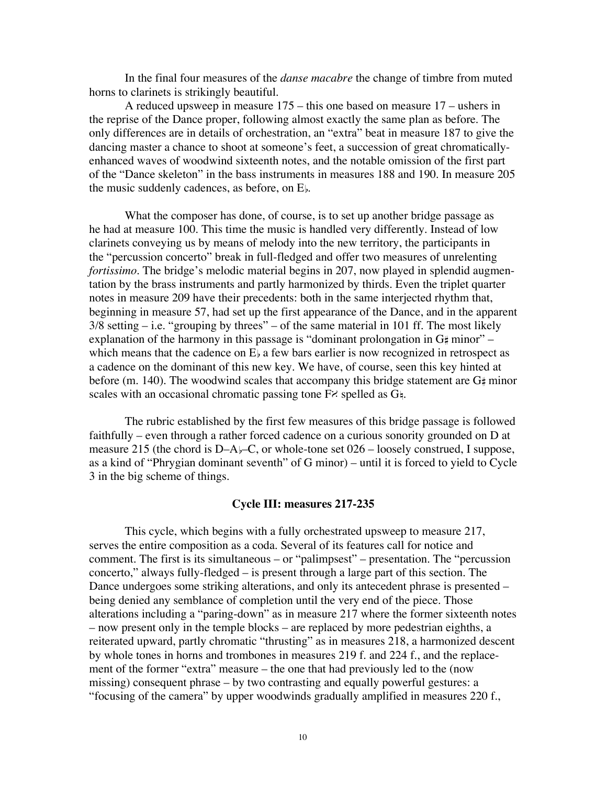In the final four measures of the *danse macabre* the change of timbre from muted horns to clarinets is strikingly beautiful.

A reduced upsweep in measure 175 – this one based on measure 17 – ushers in the reprise of the Dance proper, following almost exactly the same plan as before. The only differences are in details of orchestration, an "extra" beat in measure 187 to give the dancing master a chance to shoot at someone's feet, a succession of great chromaticallyenhanced waves of woodwind sixteenth notes, and the notable omission of the first part of the "Dance skeleton" in the bass instruments in measures 188 and 190. In measure 205 the music suddenly cadences, as before, on  $E_{\flat}$ .

What the composer has done, of course, is to set up another bridge passage as he had at measure 100. This time the music is handled very differently. Instead of low clarinets conveying us by means of melody into the new territory, the participants in the "percussion concerto" break in full-fledged and offer two measures of unrelenting *fortissimo*. The bridge's melodic material begins in 207, now played in splendid augmentation by the brass instruments and partly harmonized by thirds. Even the triplet quarter notes in measure 209 have their precedents: both in the same interjected rhythm that, beginning in measure 57, had set up the first appearance of the Dance, and in the apparent  $3/8$  setting  $-$  i.e. "grouping by threes"  $-$  of the same material in 101 ff. The most likely explanation of the harmony in this passage is "dominant prolongation in  $G_{\sharp}$  minor" – which means that the cadence on  $E<sub>b</sub>$  a few bars earlier is now recognized in retrospect as a cadence on the dominant of this new key. We have, of course, seen this key hinted at before (m. 140). The woodwind scales that accompany this bridge statement are  $G_{\rm \#}$  minor scales with an occasional chromatic passing tone  $F$ . spelled as  $G_{\frac{1}{2}}$ .

The rubric established by the first few measures of this bridge passage is followed faithfully – even through a rather forced cadence on a curious sonority grounded on D at measure 215 (the chord is  $D-A$ )–C, or whole-tone set  $026$  – loosely construed, I suppose, as a kind of "Phrygian dominant seventh" of G minor) – until it is forced to yield to Cycle 3 in the big scheme of things.

#### **Cycle III: measures 217-235**

This cycle, which begins with a fully orchestrated upsweep to measure 217, serves the entire composition as a coda. Several of its features call for notice and comment. The first is its simultaneous – or "palimpsest" – presentation. The "percussion concerto," always fully-fledged – is present through a large part of this section. The Dance undergoes some striking alterations, and only its antecedent phrase is presented – being denied any semblance of completion until the very end of the piece. Those alterations including a "paring-down" as in measure 217 where the former sixteenth notes – now present only in the temple blocks – are replaced by more pedestrian eighths, a reiterated upward, partly chromatic "thrusting" as in measures 218, a harmonized descent by whole tones in horns and trombones in measures 219 f. and 224 f., and the replacement of the former "extra" measure – the one that had previously led to the (now missing) consequent phrase – by two contrasting and equally powerful gestures: a "focusing of the camera" by upper woodwinds gradually amplified in measures 220 f.,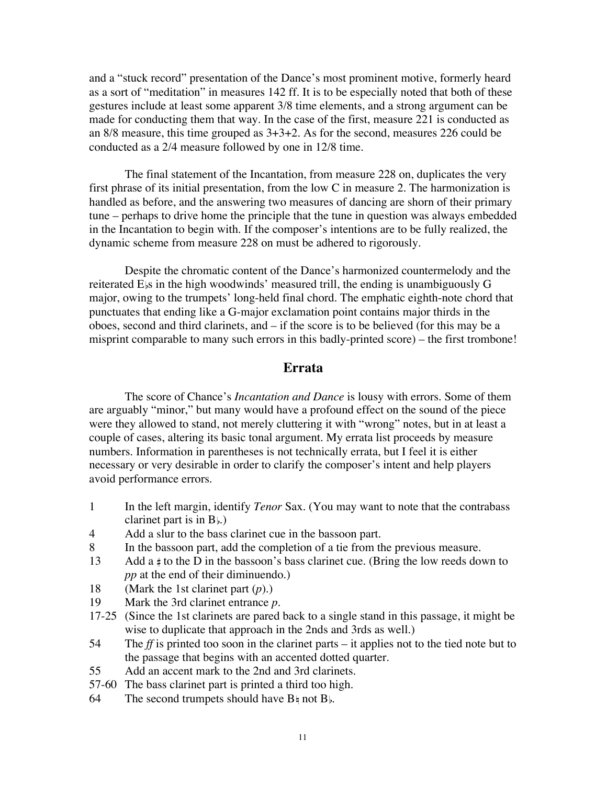and a "stuck record" presentation of the Dance's most prominent motive, formerly heard as a sort of "meditation" in measures 142 ff. It is to be especially noted that both of these gestures include at least some apparent 3/8 time elements, and a strong argument can be made for conducting them that way. In the case of the first, measure 221 is conducted as an 8/8 measure, this time grouped as 3+3+2. As for the second, measures 226 could be conducted as a 2/4 measure followed by one in 12/8 time.

The final statement of the Incantation, from measure 228 on, duplicates the very first phrase of its initial presentation, from the low C in measure 2. The harmonization is handled as before, and the answering two measures of dancing are shorn of their primary tune – perhaps to drive home the principle that the tune in question was always embedded in the Incantation to begin with. If the composer's intentions are to be fully realized, the dynamic scheme from measure 228 on must be adhered to rigorously.

Despite the chromatic content of the Dance's harmonized countermelody and the reiterated E<sub>ls</sub> in the high woodwinds' measured trill, the ending is unambiguously G major, owing to the trumpets' long-held final chord. The emphatic eighth-note chord that punctuates that ending like a G-major exclamation point contains major thirds in the oboes, second and third clarinets, and – if the score is to be believed (for this may be a misprint comparable to many such errors in this badly-printed score) – the first trombone!

## **Errata**

The score of Chance's *Incantation and Dance* is lousy with errors. Some of them are arguably "minor," but many would have a profound effect on the sound of the piece were they allowed to stand, not merely cluttering it with "wrong" notes, but in at least a couple of cases, altering its basic tonal argument. My errata list proceeds by measure numbers. Information in parentheses is not technically errata, but I feel it is either necessary or very desirable in order to clarify the composer's intent and help players avoid performance errors.

- 1 In the left margin, identify *Tenor* Sax. (You may want to note that the contrabass clarinet part is in  $B_{\flat}$ .)
- 4 Add a slur to the bass clarinet cue in the bassoon part.
- 8 In the bassoon part, add the completion of a tie from the previous measure.
- 13 Add a  $\sharp$  to the D in the bassoon's bass clarinet cue. (Bring the low reeds down to *pp* at the end of their diminuendo.)
- 18 (Mark the 1st clarinet part (*p*).)
- 19 Mark the 3rd clarinet entrance *p*.
- 17-25 (Since the 1st clarinets are pared back to a single stand in this passage, it might be wise to duplicate that approach in the 2nds and 3rds as well.)
- 54 The *ff* is printed too soon in the clarinet parts it applies not to the tied note but to the passage that begins with an accented dotted quarter.
- 55 Add an accent mark to the 2nd and 3rd clarinets.
- 57-60 The bass clarinet part is printed a third too high.
- 64 The second trumpets should have  $B \nmid$  not  $B \nmid$ .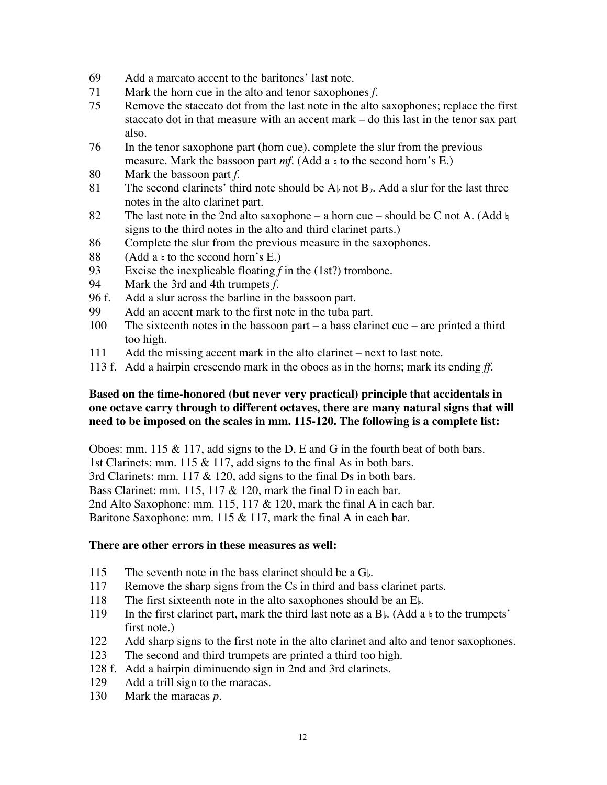- 69 Add a marcato accent to the baritones' last note.
- 71 Mark the horn cue in the alto and tenor saxophones *f*.
- 75 Remove the staccato dot from the last note in the alto saxophones; replace the first staccato dot in that measure with an accent mark – do this last in the tenor sax part also.
- 76 In the tenor saxophone part (horn cue), complete the slur from the previous measure. Mark the bassoon part  $mf.$  (Add a  $\frac{1}{4}$  to the second horn's E.)
- 80 Mark the bassoon part *f*.
- 81 The second clarinets' third note should be  $A_{\flat}$  not  $B_{\flat}$ . Add a slur for the last three notes in the alto clarinet part.
- 82 The last note in the 2nd alto saxophone a horn cue should be C not A. (Add  $\frac{1}{2}$ ) signs to the third notes in the alto and third clarinet parts.)
- 86 Complete the slur from the previous measure in the saxophones.
- 88 (Add a  $\frac{1}{4}$  to the second horn's E.)
- 93 Excise the inexplicable floating *f* in the (1st?) trombone.
- 94 Mark the 3rd and 4th trumpets *f*.
- 96 f. Add a slur across the barline in the bassoon part.
- 99 Add an accent mark to the first note in the tuba part.
- 100 The sixteenth notes in the bassoon part a bass clarinet cue are printed a third too high.
- 111 Add the missing accent mark in the alto clarinet next to last note.
- 113 f. Add a hairpin crescendo mark in the oboes as in the horns; mark its ending *ff*.

# **Based on the time-honored (but never very practical) principle that accidentals in one octave carry through to different octaves, there are many natural signs that will need to be imposed on the scales in mm. 115-120. The following is a complete list:**

Oboes: mm. 115  $\&$  117, add signs to the D, E and G in the fourth beat of both bars. 1st Clarinets: mm. 115 & 117, add signs to the final As in both bars. 3rd Clarinets: mm. 117 & 120, add signs to the final Ds in both bars. Bass Clarinet: mm. 115, 117 & 120, mark the final D in each bar. 2nd Alto Saxophone: mm. 115, 117 & 120, mark the final A in each bar. Baritone Saxophone: mm. 115 & 117, mark the final A in each bar.

## **There are other errors in these measures as well:**

- 115 The seventh note in the bass clarinet should be a  $G<sub>b</sub>$ .
- 117 Remove the sharp signs from the Cs in third and bass clarinet parts.
- 118 The first sixteenth note in the alto saxophones should be an  $E<sub>b</sub>$ .
- 119 In the first clarinet part, mark the third last note as a  $B_{\rm b}$ . (Add a  $\frac{1}{2}$  to the trumpets' first note.)
- 122 Add sharp signs to the first note in the alto clarinet and alto and tenor saxophones.
- 123 The second and third trumpets are printed a third too high.
- 128 f. Add a hairpin diminuendo sign in 2nd and 3rd clarinets.
- 129 Add a trill sign to the maracas.
- 130 Mark the maracas *p*.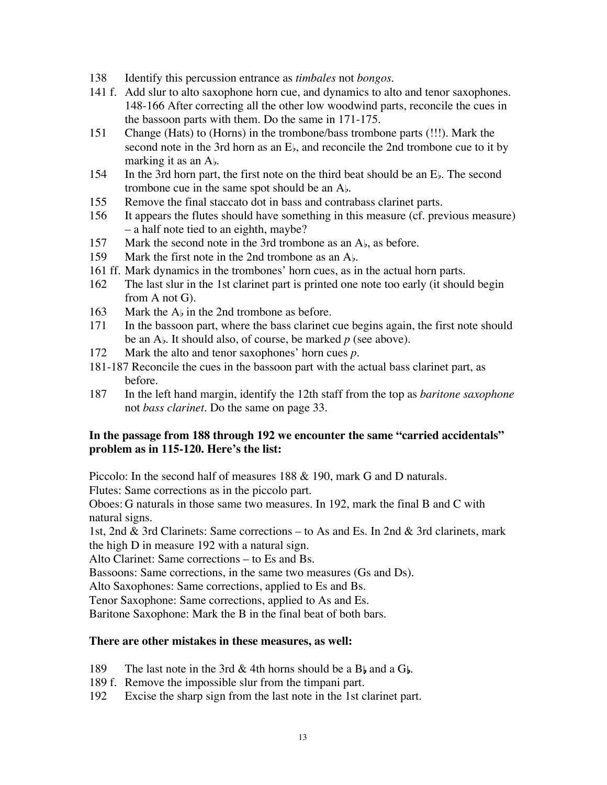- 138 Identify this percussion entrance as *timbales* not *bongos*.
- 141 f. Add slur to alto saxophone horn cue, and dynamics to alto and tenor saxophones. 148-166 After correcting all the other low woodwind parts, reconcile the cues in the bassoon parts with them. Do the same in 171-175.
- 151 Change (Hats) to (Horns) in the trombone/bass trombone parts (!!!). Mark the second note in the 3rd horn as an  $E<sub>b</sub>$ , and reconcile the 2nd trombone cue to it by marking it as an  $A_{\flat}$ .
- 154 In the 3rd horn part, the first note on the third beat should be an E. The second trombone cue in the same spot should be an  $A<sub>b</sub>$ .
- 155 Remove the final staccato dot in bass and contrabass clarinet parts.
- 156 It appears the flutes should have something in this measure (cf. previous measure) – a half note tied to an eighth, maybe?
- 157 Mark the second note in the 3rd trombone as an  $A<sub>b</sub>$ , as before.
- 159 Mark the first note in the 2nd trombone as an  $A_{\flat}$ .
- 161 ff. Mark dynamics in the trombones' horn cues, as in the actual horn parts.
- 162 The last slur in the 1st clarinet part is printed one note too early (it should begin from A not G).
- 163 Mark the  $A<sub>b</sub>$  in the 2nd trombone as before.
- 171 In the bassoon part, where the bass clarinet cue begins again, the first note should be an A<sub>b</sub>. It should also, of course, be marked *p* (see above).
- 172 Mark the alto and tenor saxophones' horn cues *p*.
- 181-187 Reconcile the cues in the bassoon part with the actual bass clarinet part, as before.
- 187 In the left hand margin, identify the 12th staff from the top as *baritone saxophone* not *bass clarinet*. Do the same on page 33.

## **In the passage from 188 through 192 we encounter the same "carried accidentals" problem as in 115-120. Here's the list:**

Piccolo: In the second half of measures 188 & 190, mark G and D naturals.

Flutes: Same corrections as in the piccolo part.

Oboes: G naturals in those same two measures. In 192, mark the final B and C with natural signs.

1st, 2nd & 3rd Clarinets: Same corrections – to As and Es. In 2nd & 3rd clarinets, mark the high D in measure 192 with a natural sign.

Alto Clarinet: Same corrections – to Es and Bs.

Bassoons: Same corrections, in the same two measures (Gs and Ds).

Alto Saxophones: Same corrections, applied to Es and Bs.

Tenor Saxophone: Same corrections, applied to As and Es.

Baritone Saxophone: Mark the B in the final beat of both bars.

## **There are other mistakes in these measures, as well:**

- 189 The last note in the 3rd & 4th horns should be a  $B<sub>b</sub>$  and a  $G<sub>b</sub>$ .
- 189 f. Remove the impossible slur from the timpani part.
- 192 Excise the sharp sign from the last note in the 1st clarinet part.